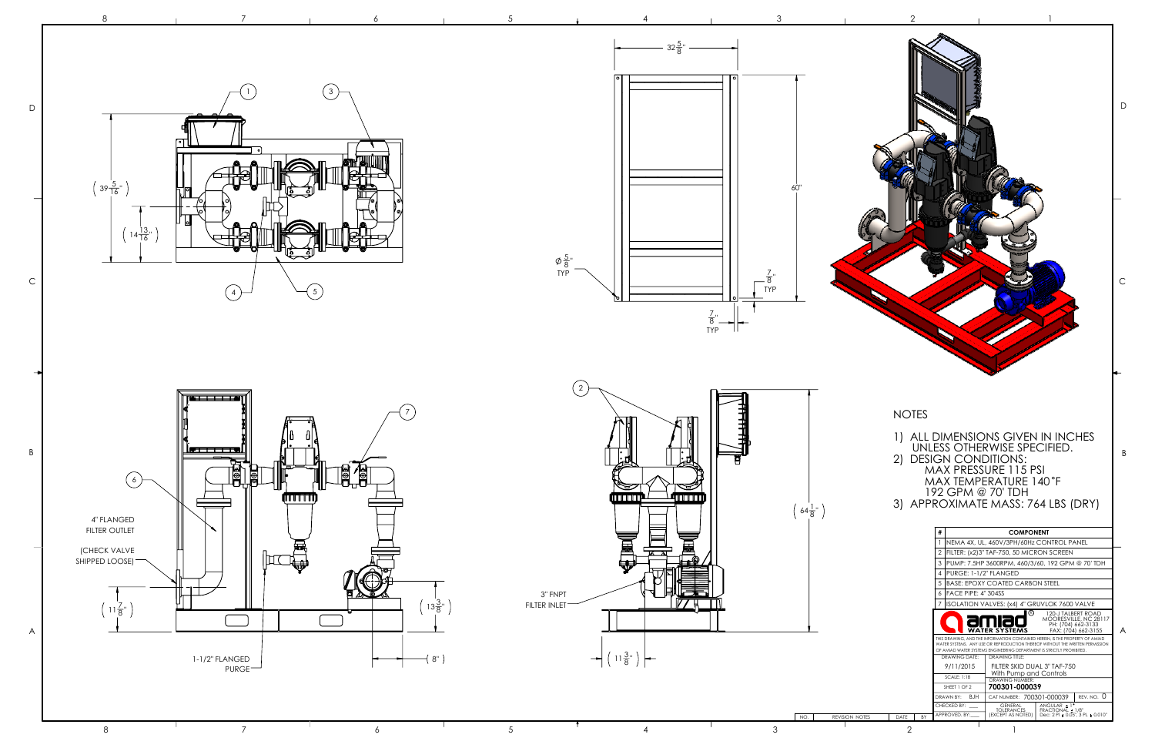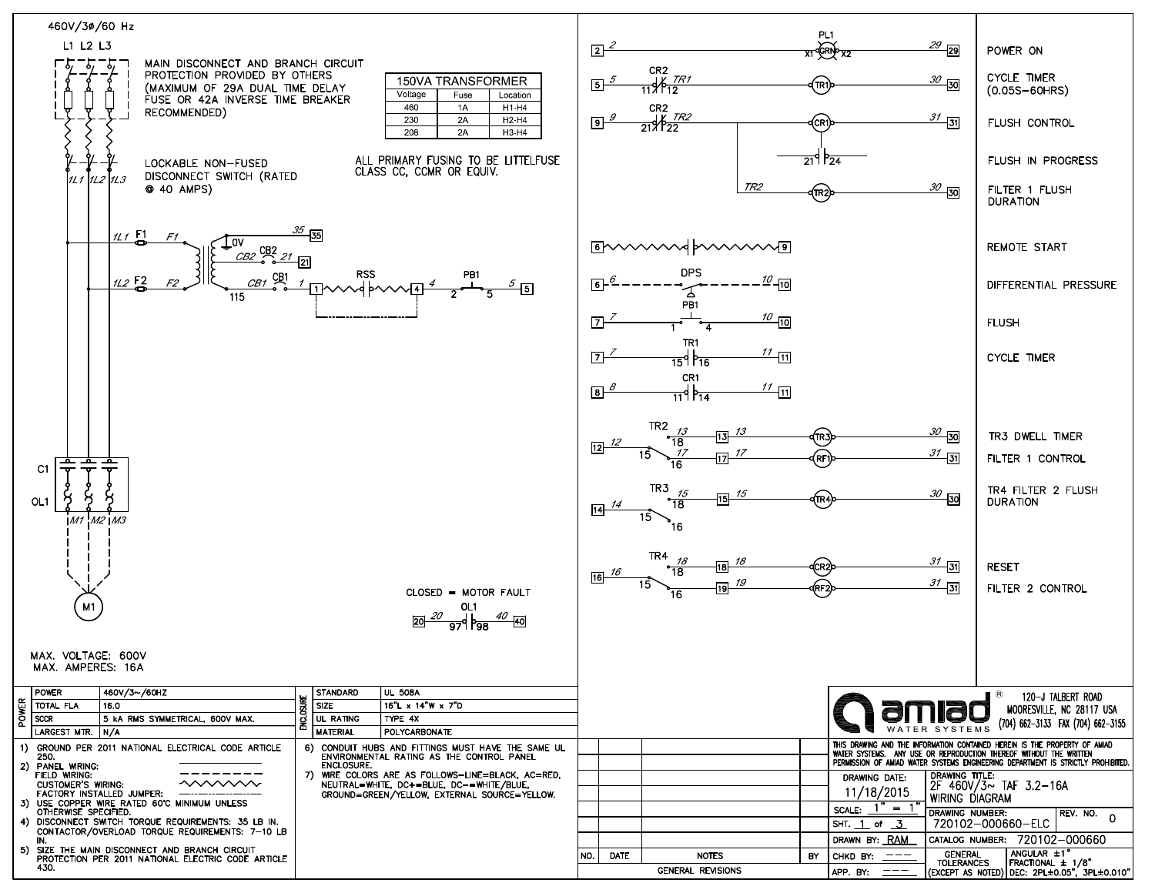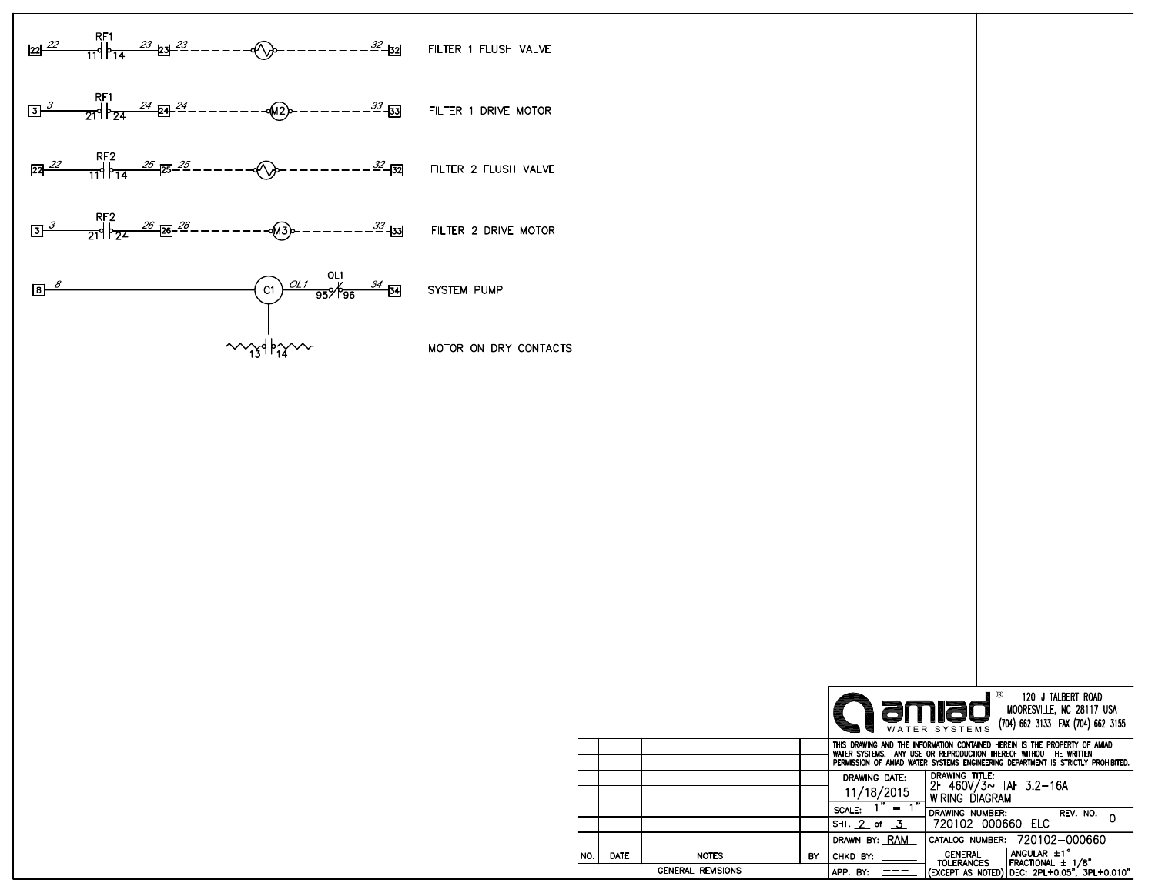